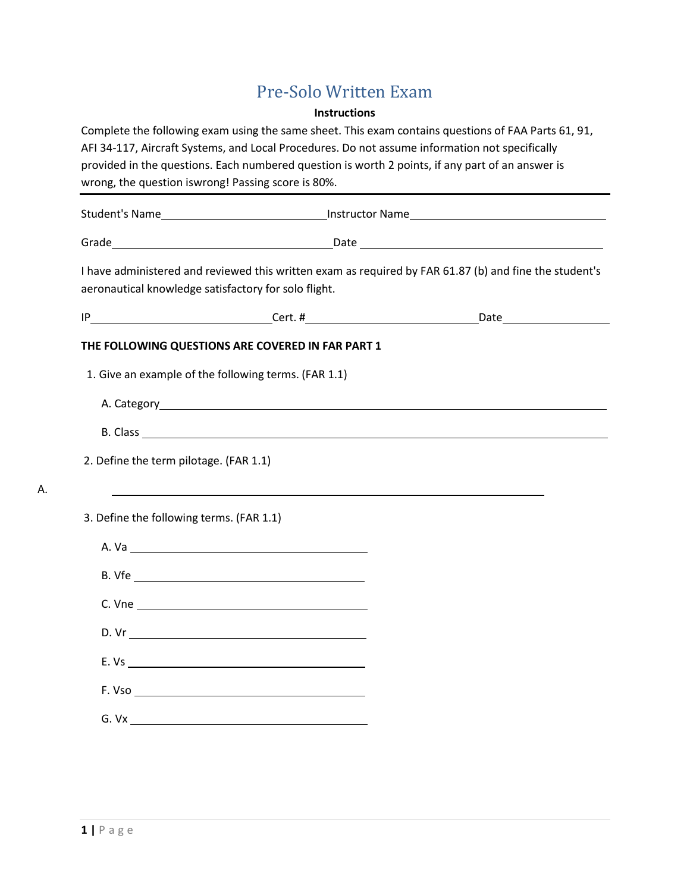# Pre-Solo Written Exam

### **Instructions**

Complete the following exam using the same sheet. This exam contains questions of FAA Parts 61, 91, AFI 34-117, Aircraft Systems, and Local Procedures. Do not assume information not specifically provided in the questions. Each numbered question is worth 2 points, if any part of an answer is wrong, the question iswrong! Passing score is 80%. Student's Name Instructor Name Grade Date I have administered and reviewed this written exam as required by FAR 61.87 (b) and fine the student's aeronautical knowledge satisfactory for solo flight. IP Cert. # Date **THE FOLLOWING QUESTIONS ARE COVERED IN FAR PART 1** 1. Give an example of the following terms. (FAR 1.1) A. Category <u>and the contract of the contract of the contract of the contract of the contract of the contract of the contract of the contract of the contract of the contract of the contract of the contract of the contract </u> B. Class 2. Define the term pilotage. (FAR 1.1) 3. Define the following terms. (FAR 1.1) A. Va B. Vfe C. Vne D. Vr E. Vs F. Vso G. Vx

A.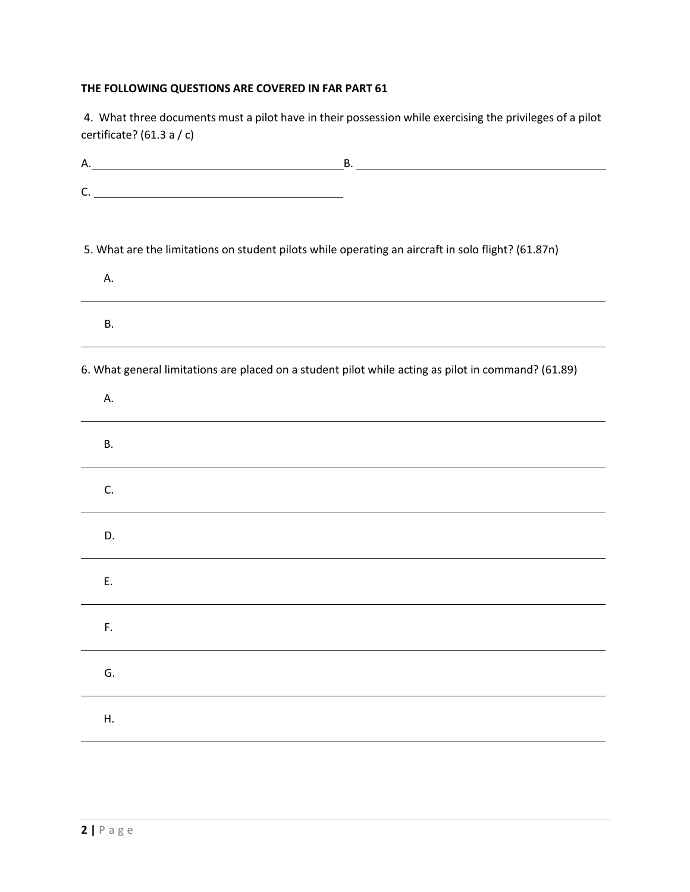## **THE FOLLOWING QUESTIONS ARE COVERED IN FAR PART 61**

4. What three documents must a pilot have in their possession while exercising the privileges of a pilot certificate? (61.3 a / c)

| C.                                                                                                       |
|----------------------------------------------------------------------------------------------------------|
| 5. What are the limitations on student pilots while operating an aircraft in solo flight? (61.87n)<br>А. |
| В.                                                                                                       |
| 6. What general limitations are placed on a student pilot while acting as pilot in command? (61.89)      |
| А.                                                                                                       |
| В.                                                                                                       |
| C.                                                                                                       |
| D.                                                                                                       |
| Ε.                                                                                                       |
| F.                                                                                                       |
| G.                                                                                                       |
| Η.                                                                                                       |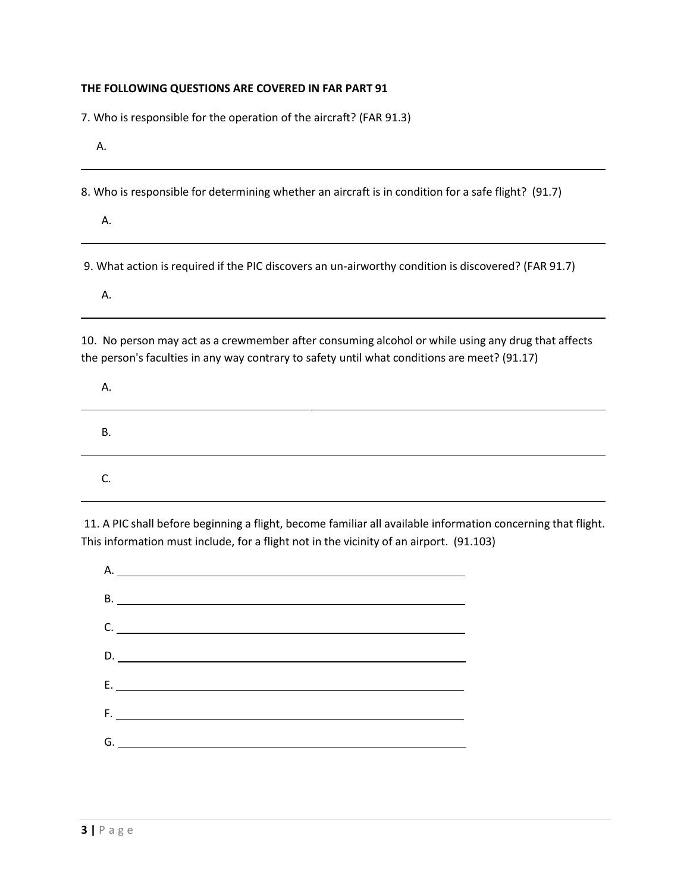#### **THE FOLLOWING QUESTIONS ARE COVERED IN FAR PART 91**

7. Who is responsible for the operation of the aircraft? (FAR 91.3)

A.

8. Who is responsible for determining whether an aircraft is in condition for a safe flight? (91.7)

A.

9. What action is required if the PIC discovers an un-airworthy condition is discovered? (FAR 91.7)

A.

10. No person may act as a crewmember after consuming alcohol or while using any drug that affects the person's faculties in any way contrary to safety until what conditions are meet? (91.17)

| Α. |  |
|----|--|
| В. |  |
|    |  |

11. A PIC shall before beginning a flight, become familiar all available information concerning that flight. This information must include, for a flight not in the vicinity of an airport. (91.103)

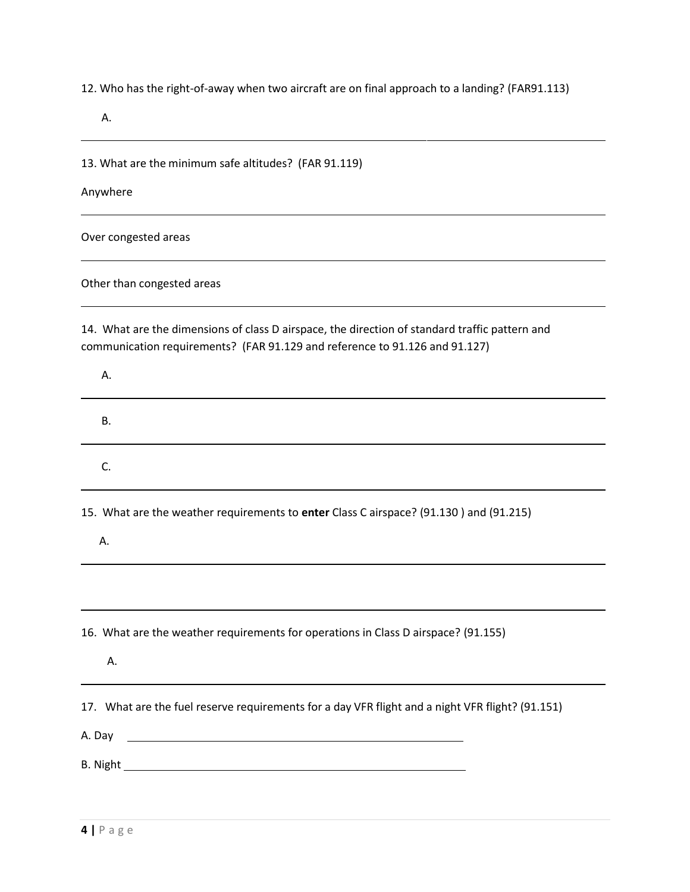12. Who has the right-of-away when two aircraft are on final approach to a landing? (FAR91.113)

A.

13. What are the minimum safe altitudes? (FAR 91.119)

Anywhere

Over congested areas

Other than congested areas

14. What are the dimensions of class D airspace, the direction of standard traffic pattern and communication requirements? (FAR 91.129 and reference to 91.126 and 91.127)

| А.                                                                                               |
|--------------------------------------------------------------------------------------------------|
| В.                                                                                               |
| C.                                                                                               |
| 15. What are the weather requirements to enter Class C airspace? (91.130) and (91.215)<br>А.     |
|                                                                                                  |
| 16. What are the weather requirements for operations in Class D airspace? (91.155)<br>Α.         |
| 17. What are the fuel reserve requirements for a day VFR flight and a night VFR flight? (91.151) |
|                                                                                                  |
|                                                                                                  |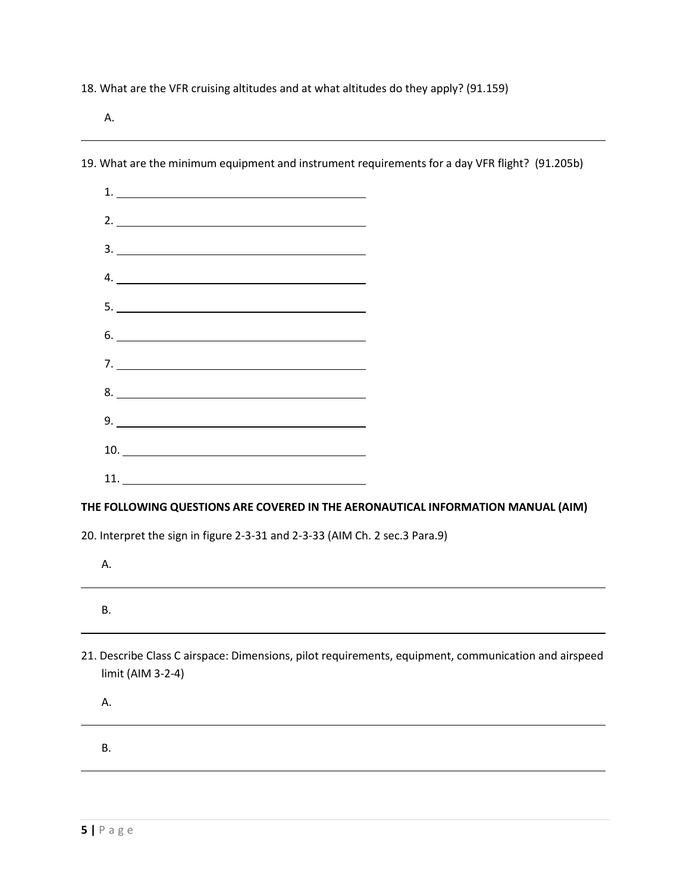18. What are the VFR cruising altitudes and at what altitudes do they apply? (91.159)

A.

| $\frac{3}{2}$                                                                                                             |  |
|---------------------------------------------------------------------------------------------------------------------------|--|
| $4. \underline{\hspace{2cm}}$                                                                                             |  |
|                                                                                                                           |  |
| $6.$ $\overline{\phantom{a}}$                                                                                             |  |
|                                                                                                                           |  |
|                                                                                                                           |  |
|                                                                                                                           |  |
| $\begin{tabular}{c} 10. \end{tabular}$                                                                                    |  |
|                                                                                                                           |  |
| THE FOLLOWING QUESTIONS ARE COVERED IN THE AERONAUTICAL INFORMATION MANUAL (AIM)                                          |  |
| 20. Interpret the sign in figure 2-3-31 and 2-3-33 (AIM Ch. 2 sec.3 Para.9)                                               |  |
| Α.                                                                                                                        |  |
| В.                                                                                                                        |  |
| 21. Describe Class C airspace: Dimensions, pilot requirements, equipment, communication and airspeed<br>limit (AIM 3-2-4) |  |
| А.                                                                                                                        |  |
| <b>B.</b>                                                                                                                 |  |
|                                                                                                                           |  |

19. What are the minimum equipment and instrument requirements for a day VFR flight? (91.205b)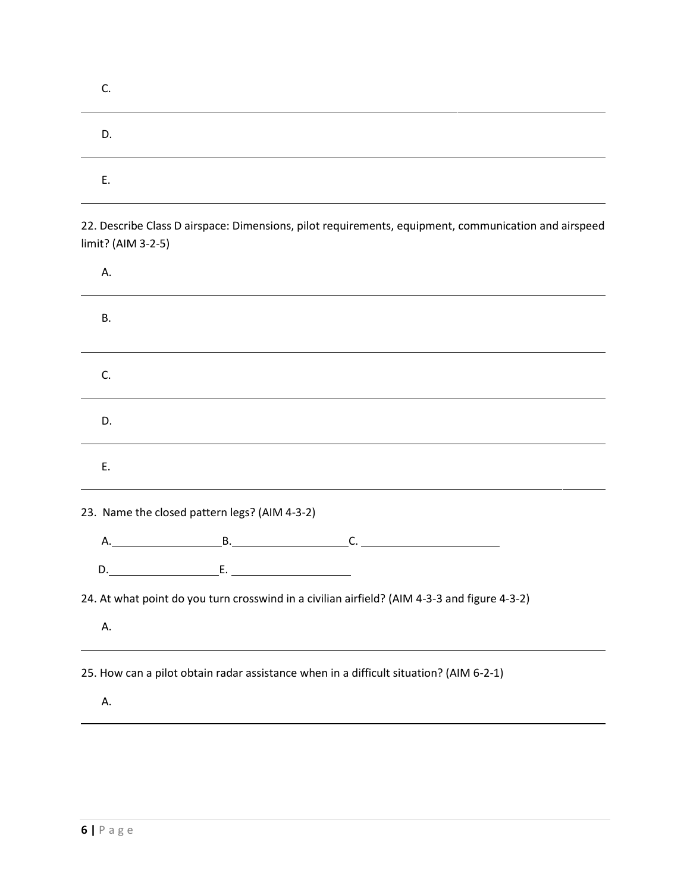| J. |  |
|----|--|
| D. |  |
| Е. |  |

22. Describe Class D airspace: Dimensions, pilot requirements, equipment, communication and airspeed limit? (AIM 3-2-5)

| А. |                                                                                        |                                                                                              |  |
|----|----------------------------------------------------------------------------------------|----------------------------------------------------------------------------------------------|--|
| В. |                                                                                        |                                                                                              |  |
| C. |                                                                                        |                                                                                              |  |
| D. |                                                                                        |                                                                                              |  |
| E. |                                                                                        |                                                                                              |  |
|    | 23. Name the closed pattern legs? (AIM 4-3-2)                                          |                                                                                              |  |
|    |                                                                                        |                                                                                              |  |
|    |                                                                                        |                                                                                              |  |
| Α. |                                                                                        | 24. At what point do you turn crosswind in a civilian airfield? (AIM 4-3-3 and figure 4-3-2) |  |
| Α. | 25. How can a pilot obtain radar assistance when in a difficult situation? (AIM 6-2-1) |                                                                                              |  |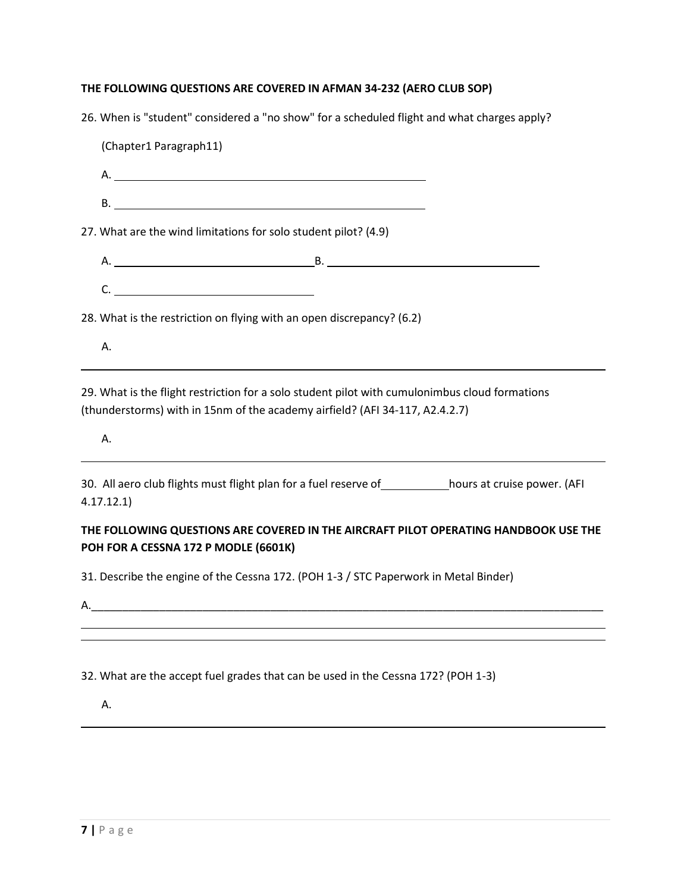## **THE FOLLOWING QUESTIONS ARE COVERED IN AFMAN 34-232 (AERO CLUB SOP)**

| 26. When is "student" considered a "no show" for a scheduled flight and what charges apply?                                                                                    |  |
|--------------------------------------------------------------------------------------------------------------------------------------------------------------------------------|--|
| (Chapter1 Paragraph11)                                                                                                                                                         |  |
|                                                                                                                                                                                |  |
|                                                                                                                                                                                |  |
| 27. What are the wind limitations for solo student pilot? (4.9)                                                                                                                |  |
|                                                                                                                                                                                |  |
| $C.$ $\qquad \qquad$                                                                                                                                                           |  |
| 28. What is the restriction on flying with an open discrepancy? (6.2)                                                                                                          |  |
| Α.                                                                                                                                                                             |  |
| 29. What is the flight restriction for a solo student pilot with cumulonimbus cloud formations<br>(thunderstorms) with in 15nm of the academy airfield? (AFI 34-117, A2.4.2.7) |  |
| А.                                                                                                                                                                             |  |
| 30. All aero club flights must flight plan for a fuel reserve of _____________hours at cruise power. (AFI<br>4.17.12.1                                                         |  |
| THE FOLLOWING QUESTIONS ARE COVERED IN THE AIRCRAFT PILOT OPERATING HANDBOOK USE THE<br>POH FOR A CESSNA 172 P MODLE (6601K)                                                   |  |
| 21 Describe the engine of the Cessen 172 (DOU 1.2 / STC Dependence in Motel Binder)                                                                                            |  |

31. Describe the engine of the Cessna 172. (POH 1-3 / STC Paperwork in Metal Binder)

A.\_\_\_\_\_\_\_\_\_\_\_\_\_\_\_\_\_\_\_\_\_\_\_\_\_\_\_\_\_\_\_\_\_\_\_\_\_\_\_\_\_\_\_\_\_\_\_\_\_\_\_\_\_\_\_\_\_\_\_\_\_\_\_\_\_\_\_\_\_\_\_\_\_\_\_\_\_\_\_\_\_\_\_

32. What are the accept fuel grades that can be used in the Cessna 172? (POH 1-3)

A.